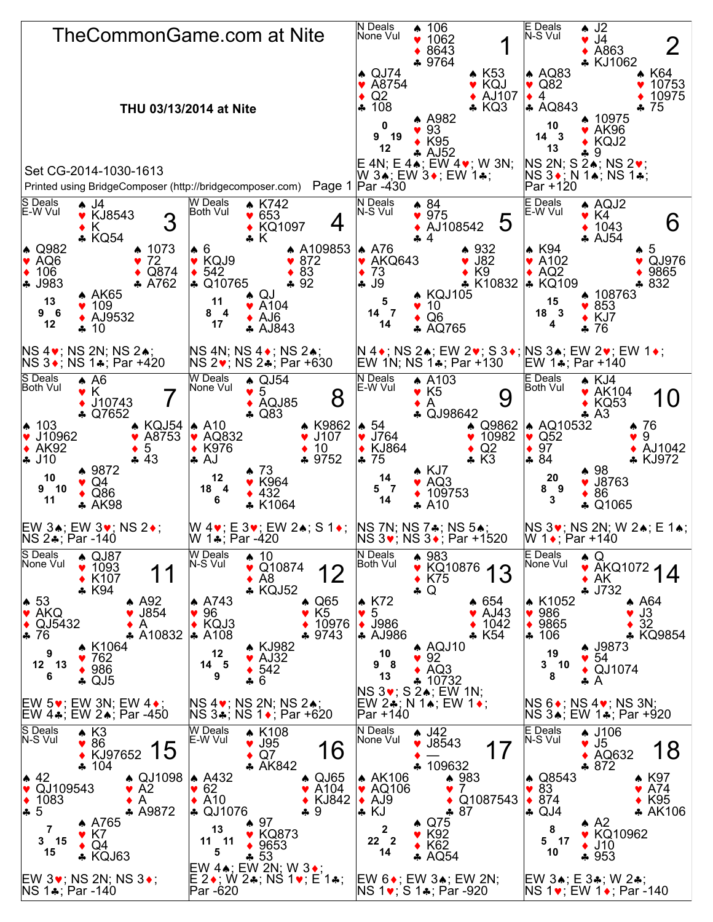